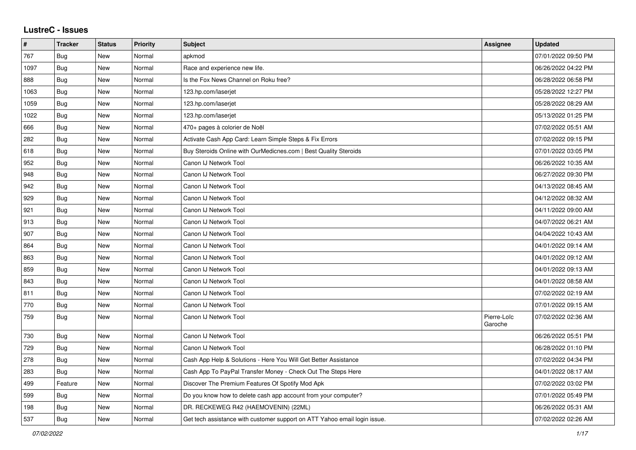## **LustreC - Issues**

| $\pmb{\#}$ | <b>Tracker</b> | <b>Status</b> | <b>Priority</b> | <b>Subject</b>                                                            | <b>Assignee</b>        | Updated             |
|------------|----------------|---------------|-----------------|---------------------------------------------------------------------------|------------------------|---------------------|
| 767        | Bug            | New           | Normal          | apkmod                                                                    |                        | 07/01/2022 09:50 PM |
| 1097       | Bug            | <b>New</b>    | Normal          | Race and experience new life.                                             |                        | 06/26/2022 04:22 PM |
| 888        | Bug            | <b>New</b>    | Normal          | Is the Fox News Channel on Roku free?                                     |                        | 06/28/2022 06:58 PM |
| 1063       | <b>Bug</b>     | New           | Normal          | 123.hp.com/laserjet                                                       |                        | 05/28/2022 12:27 PM |
| 1059       | Bug            | <b>New</b>    | Normal          | 123.hp.com/laserjet                                                       |                        | 05/28/2022 08:29 AM |
| 1022       | <b>Bug</b>     | <b>New</b>    | Normal          | 123.hp.com/laserjet                                                       |                        | 05/13/2022 01:25 PM |
| 666        | Bug            | New           | Normal          | 470+ pages à colorier de Noël                                             |                        | 07/02/2022 05:51 AM |
| 282        | Bug            | New           | Normal          | Activate Cash App Card: Learn Simple Steps & Fix Errors                   |                        | 07/02/2022 09:15 PM |
| 618        | <b>Bug</b>     | <b>New</b>    | Normal          | Buy Steroids Online with OurMedicnes.com   Best Quality Steroids          |                        | 07/01/2022 03:05 PM |
| 952        | Bug            | <b>New</b>    | Normal          | Canon IJ Network Tool                                                     |                        | 06/26/2022 10:35 AM |
| 948        | <b>Bug</b>     | <b>New</b>    | Normal          | Canon IJ Network Tool                                                     |                        | 06/27/2022 09:30 PM |
| 942        | Bug            | <b>New</b>    | Normal          | Canon IJ Network Tool                                                     |                        | 04/13/2022 08:45 AM |
| 929        | <b>Bug</b>     | New           | Normal          | Canon IJ Network Tool                                                     |                        | 04/12/2022 08:32 AM |
| 921        | Bug            | New           | Normal          | Canon IJ Network Tool                                                     |                        | 04/11/2022 09:00 AM |
| 913        | Bug            | <b>New</b>    | Normal          | Canon IJ Network Tool                                                     |                        | 04/07/2022 06:21 AM |
| 907        | <b>Bug</b>     | <b>New</b>    | Normal          | Canon IJ Network Tool                                                     |                        | 04/04/2022 10:43 AM |
| 864        | Bug            | New           | Normal          | Canon IJ Network Tool                                                     |                        | 04/01/2022 09:14 AM |
| 863        | <b>Bug</b>     | New           | Normal          | Canon IJ Network Tool                                                     |                        | 04/01/2022 09:12 AM |
| 859        | <b>Bug</b>     | New           | Normal          | Canon IJ Network Tool                                                     |                        | 04/01/2022 09:13 AM |
| 843        | Bug            | New           | Normal          | Canon IJ Network Tool                                                     |                        | 04/01/2022 08:58 AM |
| 811        | Bug            | <b>New</b>    | Normal          | Canon IJ Network Tool                                                     |                        | 07/02/2022 02:19 AM |
| 770        | Bug            | <b>New</b>    | Normal          | Canon IJ Network Tool                                                     |                        | 07/01/2022 09:15 AM |
| 759        | Bug            | New           | Normal          | Canon IJ Network Tool                                                     | Pierre-Loïc<br>Garoche | 07/02/2022 02:36 AM |
| 730        | Bug            | <b>New</b>    | Normal          | Canon IJ Network Tool                                                     |                        | 06/26/2022 05:51 PM |
| 729        | <b>Bug</b>     | New           | Normal          | Canon IJ Network Tool                                                     |                        | 06/28/2022 01:10 PM |
| 278        | <b>Bug</b>     | New           | Normal          | Cash App Help & Solutions - Here You Will Get Better Assistance           |                        | 07/02/2022 04:34 PM |
| 283        | Bug            | <b>New</b>    | Normal          | Cash App To PayPal Transfer Money - Check Out The Steps Here              |                        | 04/01/2022 08:17 AM |
| 499        | Feature        | <b>New</b>    | Normal          | Discover The Premium Features Of Spotify Mod Apk                          |                        | 07/02/2022 03:02 PM |
| 599        | Bug            | <b>New</b>    | Normal          | Do you know how to delete cash app account from your computer?            |                        | 07/01/2022 05:49 PM |
| 198        | Bug            | <b>New</b>    | Normal          | DR. RECKEWEG R42 (HAEMOVENIN) (22ML)                                      |                        | 06/26/2022 05:31 AM |
| 537        | <b>Bug</b>     | <b>New</b>    | Normal          | Get tech assistance with customer support on ATT Yahoo email login issue. |                        | 07/02/2022 02:26 AM |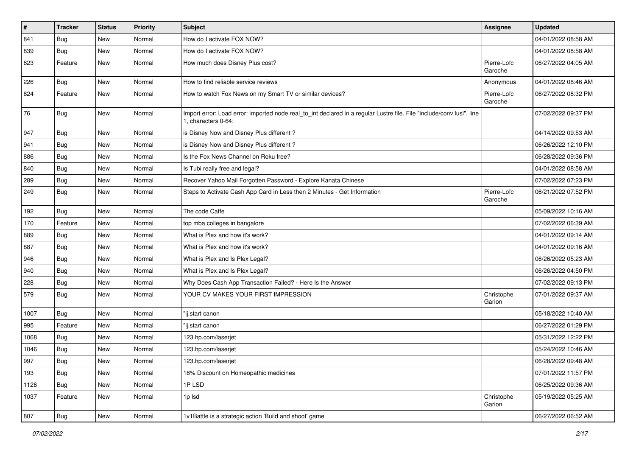| #    | <b>Tracker</b> | <b>Status</b> | <b>Priority</b> | <b>Subject</b>                                                                                                                               | <b>Assignee</b>        | <b>Updated</b>      |
|------|----------------|---------------|-----------------|----------------------------------------------------------------------------------------------------------------------------------------------|------------------------|---------------------|
| 841  | <b>Bug</b>     | New           | Normal          | How do I activate FOX NOW?                                                                                                                   |                        | 04/01/2022 08:58 AM |
| 839  | Bug            | New           | Normal          | How do I activate FOX NOW?                                                                                                                   |                        | 04/01/2022 08:58 AM |
| 823  | Feature        | New           | Normal          | How much does Disney Plus cost?                                                                                                              | Pierre-Loïc<br>Garoche | 06/27/2022 04:05 AM |
| 226  | Bug            | New           | Normal          | How to find reliable service reviews                                                                                                         | Anonymous              | 04/01/2022 08:46 AM |
| 824  | Feature        | New           | Normal          | How to watch Fox News on my Smart TV or similar devices?                                                                                     | Pierre-Loïc<br>Garoche | 06/27/2022 08:32 PM |
| 76   | <b>Bug</b>     | New           | Normal          | Import error: Load error: imported node real_to_int declared in a regular Lustre file. File "include/conv.lusi", line<br>1, characters 0-64: |                        | 07/02/2022 09:37 PM |
| 947  | Bug            | New           | Normal          | is Disney Now and Disney Plus different?                                                                                                     |                        | 04/14/2022 09:53 AM |
| 941  | <b>Bug</b>     | New           | Normal          | is Disney Now and Disney Plus different?                                                                                                     |                        | 06/26/2022 12:10 PM |
| 886  | <b>Bug</b>     | New           | Normal          | Is the Fox News Channel on Roku free?                                                                                                        |                        | 06/28/2022 09:36 PM |
| 840  | Bug            | New           | Normal          | Is Tubi really free and legal?                                                                                                               |                        | 04/01/2022 08:58 AM |
| 289  | <b>Bug</b>     | New           | Normal          | Recover Yahoo Mail Forgotten Password - Explore Kanata Chinese                                                                               |                        | 07/02/2022 07:23 PM |
| 249  | <b>Bug</b>     | New           | Normal          | Steps to Activate Cash App Card in Less then 2 Minutes - Get Information                                                                     | Pierre-Loïc<br>Garoche | 06/21/2022 07:52 PM |
| 192  | <b>Bug</b>     | New           | Normal          | The code Caffe                                                                                                                               |                        | 05/09/2022 10:16 AM |
| 170  | Feature        | New           | Normal          | top mba colleges in bangalore                                                                                                                |                        | 07/02/2022 06:39 AM |
| 889  | <b>Bug</b>     | New           | Normal          | What is Plex and how it's work?                                                                                                              |                        | 04/01/2022 09:14 AM |
| 887  | <b>Bug</b>     | New           | Normal          | What is Plex and how it's work?                                                                                                              |                        | 04/01/2022 09:16 AM |
| 946  | Bug            | New           | Normal          | What is Plex and Is Plex Legal?                                                                                                              |                        | 06/26/2022 05:23 AM |
| 940  | Bug            | New           | Normal          | What is Plex and Is Plex Legal?                                                                                                              |                        | 06/26/2022 04:50 PM |
| 228  | Bug            | New           | Normal          | Why Does Cash App Transaction Failed? - Here Is the Answer                                                                                   |                        | 07/02/2022 09:13 PM |
| 579  | Bug            | New           | Normal          | YOUR CV MAKES YOUR FIRST IMPRESSION                                                                                                          | Christophe<br>Garion   | 07/01/2022 09:37 AM |
| 1007 | Bug            | New           | Normal          | "ij.start canon                                                                                                                              |                        | 05/18/2022 10:40 AM |
| 995  | Feature        | New           | Normal          | "ij.start canon                                                                                                                              |                        | 06/27/2022 01:29 PM |
| 1068 | <b>Bug</b>     | New           | Normal          | 123.hp.com/laserjet                                                                                                                          |                        | 05/31/2022 12:22 PM |
| 1046 | <b>Bug</b>     | New           | Normal          | 123.hp.com/laserjet                                                                                                                          |                        | 05/24/2022 10:46 AM |
| 997  | Bug            | New           | Normal          | 123.hp.com/laserjet                                                                                                                          |                        | 06/28/2022 09:48 AM |
| 193  | <b>Bug</b>     | New           | Normal          | 18% Discount on Homeopathic medicines                                                                                                        |                        | 07/01/2022 11:57 PM |
| 1126 | Bug            | New           | Normal          | 1PLSD                                                                                                                                        |                        | 06/25/2022 09:36 AM |
| 1037 | Feature        | New           | Normal          | 1p lsd                                                                                                                                       | Christophe<br>Garion   | 05/19/2022 05:25 AM |
| 807  | Bug            | New           | Normal          | 1v1Battle is a strategic action 'Build and shoot' game                                                                                       |                        | 06/27/2022 06:52 AM |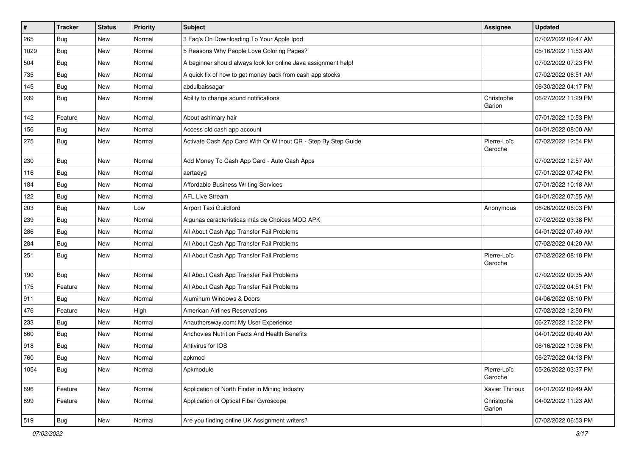| $\vert$ # | <b>Tracker</b> | <b>Status</b> | Priority | <b>Subject</b>                                                 | <b>Assignee</b>        | <b>Updated</b>      |
|-----------|----------------|---------------|----------|----------------------------------------------------------------|------------------------|---------------------|
| 265       | <b>Bug</b>     | New           | Normal   | 3 Faq's On Downloading To Your Apple Ipod                      |                        | 07/02/2022 09:47 AM |
| 1029      | <b>Bug</b>     | New           | Normal   | 5 Reasons Why People Love Coloring Pages?                      |                        | 05/16/2022 11:53 AM |
| 504       | <b>Bug</b>     | New           | Normal   | A beginner should always look for online Java assignment help! |                        | 07/02/2022 07:23 PM |
| 735       | <b>Bug</b>     | New           | Normal   | A quick fix of how to get money back from cash app stocks      |                        | 07/02/2022 06:51 AM |
| 145       | <b>Bug</b>     | New           | Normal   | abdulbaissagar                                                 |                        | 06/30/2022 04:17 PM |
| 939       | Bug            | New           | Normal   | Ability to change sound notifications                          | Christophe<br>Garion   | 06/27/2022 11:29 PM |
| 142       | Feature        | New           | Normal   | About ashimary hair                                            |                        | 07/01/2022 10:53 PM |
| 156       | <b>Bug</b>     | New           | Normal   | Access old cash app account                                    |                        | 04/01/2022 08:00 AM |
| 275       | Bug            | New           | Normal   | Activate Cash App Card With Or Without QR - Step By Step Guide | Pierre-Loïc<br>Garoche | 07/02/2022 12:54 PM |
| 230       | Bug            | New           | Normal   | Add Money To Cash App Card - Auto Cash Apps                    |                        | 07/02/2022 12:57 AM |
| 116       | Bug            | New           | Normal   | aertaeyg                                                       |                        | 07/01/2022 07:42 PM |
| 184       | <b>Bug</b>     | New           | Normal   | Affordable Business Writing Services                           |                        | 07/01/2022 10:18 AM |
| 122       | Bug            | New           | Normal   | <b>AFL Live Stream</b>                                         |                        | 04/01/2022 07:55 AM |
| 203       | <b>Bug</b>     | New           | Low      | Airport Taxi Guildford                                         | Anonymous              | 06/26/2022 06:03 PM |
| 239       | <b>Bug</b>     | New           | Normal   | Algunas características más de Choices MOD APK                 |                        | 07/02/2022 03:38 PM |
| 286       | Bug            | New           | Normal   | All About Cash App Transfer Fail Problems                      |                        | 04/01/2022 07:49 AM |
| 284       | <b>Bug</b>     | New           | Normal   | All About Cash App Transfer Fail Problems                      |                        | 07/02/2022 04:20 AM |
| 251       | <b>Bug</b>     | New           | Normal   | All About Cash App Transfer Fail Problems                      | Pierre-Loïc<br>Garoche | 07/02/2022 08:18 PM |
| 190       | Bug            | New           | Normal   | All About Cash App Transfer Fail Problems                      |                        | 07/02/2022 09:35 AM |
| 175       | Feature        | New           | Normal   | All About Cash App Transfer Fail Problems                      |                        | 07/02/2022 04:51 PM |
| 911       | <b>Bug</b>     | New           | Normal   | Aluminum Windows & Doors                                       |                        | 04/06/2022 08:10 PM |
| 476       | Feature        | New           | High     | <b>American Airlines Reservations</b>                          |                        | 07/02/2022 12:50 PM |
| 233       | Bug            | New           | Normal   | Anauthorsway.com: My User Experience                           |                        | 06/27/2022 12:02 PM |
| 660       | <b>Bug</b>     | New           | Normal   | Anchovies Nutrition Facts And Health Benefits                  |                        | 04/01/2022 09:40 AM |
| 918       | <b>Bug</b>     | New           | Normal   | Antivirus for IOS                                              |                        | 06/16/2022 10:36 PM |
| 760       | Bug            | New           | Normal   | apkmod                                                         |                        | 06/27/2022 04:13 PM |
| 1054      | Bug            | New           | Normal   | Apkmodule                                                      | Pierre-Loïc<br>Garoche | 05/26/2022 03:37 PM |
| 896       | Feature        | New           | Normal   | Application of North Finder in Mining Industry                 | Xavier Thirioux        | 04/01/2022 09:49 AM |
| 899       | Feature        | New           | Normal   | Application of Optical Fiber Gyroscope                         | Christophe<br>Garion   | 04/02/2022 11:23 AM |
| 519       | Bug            | New           | Normal   | Are you finding online UK Assignment writers?                  |                        | 07/02/2022 06:53 PM |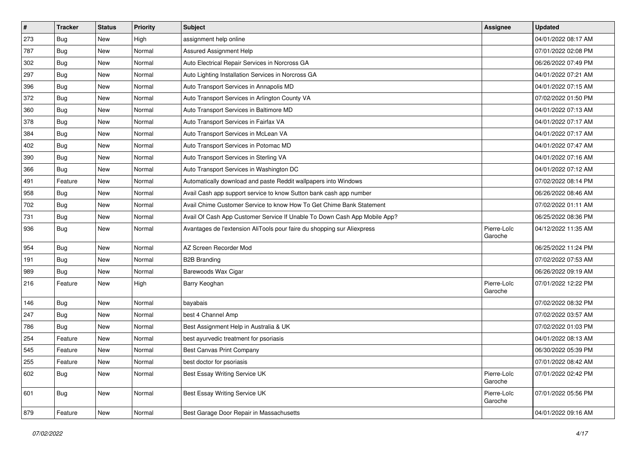| $\vert$ # | <b>Tracker</b> | <b>Status</b> | <b>Priority</b> | Subject                                                                   | <b>Assignee</b>        | <b>Updated</b>      |
|-----------|----------------|---------------|-----------------|---------------------------------------------------------------------------|------------------------|---------------------|
| 273       | Bug            | New           | High            | assignment help online                                                    |                        | 04/01/2022 08:17 AM |
| 787       | Bug            | <b>New</b>    | Normal          | Assured Assignment Help                                                   |                        | 07/01/2022 02:08 PM |
| 302       | <b>Bug</b>     | New           | Normal          | Auto Electrical Repair Services in Norcross GA                            |                        | 06/26/2022 07:49 PM |
| 297       | <b>Bug</b>     | New           | Normal          | Auto Lighting Installation Services in Norcross GA                        |                        | 04/01/2022 07:21 AM |
| 396       | Bug            | New           | Normal          | Auto Transport Services in Annapolis MD                                   |                        | 04/01/2022 07:15 AM |
| 372       | Bug            | New           | Normal          | Auto Transport Services in Arlington County VA                            |                        | 07/02/2022 01:50 PM |
| 360       | Bug            | New           | Normal          | Auto Transport Services in Baltimore MD                                   |                        | 04/01/2022 07:13 AM |
| 378       | Bug            | New           | Normal          | Auto Transport Services in Fairfax VA                                     |                        | 04/01/2022 07:17 AM |
| 384       | <b>Bug</b>     | <b>New</b>    | Normal          | Auto Transport Services in McLean VA                                      |                        | 04/01/2022 07:17 AM |
| 402       | Bug            | New           | Normal          | Auto Transport Services in Potomac MD                                     |                        | 04/01/2022 07:47 AM |
| 390       | Bug            | New           | Normal          | Auto Transport Services in Sterling VA                                    |                        | 04/01/2022 07:16 AM |
| 366       | <b>Bug</b>     | New           | Normal          | Auto Transport Services in Washington DC                                  |                        | 04/01/2022 07:12 AM |
| 491       | Feature        | New           | Normal          | Automatically download and paste Reddit wallpapers into Windows           |                        | 07/02/2022 08:14 PM |
| 958       | <b>Bug</b>     | New           | Normal          | Avail Cash app support service to know Sutton bank cash app number        |                        | 06/26/2022 08:46 AM |
| 702       | Bug            | New           | Normal          | Avail Chime Customer Service to know How To Get Chime Bank Statement      |                        | 07/02/2022 01:11 AM |
| 731       | <b>Bug</b>     | New           | Normal          | Avail Of Cash App Customer Service If Unable To Down Cash App Mobile App? |                        | 06/25/2022 08:36 PM |
| 936       | <b>Bug</b>     | New           | Normal          | Avantages de l'extension AliTools pour faire du shopping sur Aliexpress   | Pierre-Loïc<br>Garoche | 04/12/2022 11:35 AM |
| 954       | <b>Bug</b>     | New           | Normal          | AZ Screen Recorder Mod                                                    |                        | 06/25/2022 11:24 PM |
| 191       | Bug            | New           | Normal          | <b>B2B Branding</b>                                                       |                        | 07/02/2022 07:53 AM |
| 989       | <b>Bug</b>     | New           | Normal          | Barewoods Wax Cigar                                                       |                        | 06/26/2022 09:19 AM |
| 216       | Feature        | New           | High            | Barry Keoghan                                                             | Pierre-Loïc<br>Garoche | 07/01/2022 12:22 PM |
| 146       | <b>Bug</b>     | New           | Normal          | bayabais                                                                  |                        | 07/02/2022 08:32 PM |
| 247       | <b>Bug</b>     | New           | Normal          | best 4 Channel Amp                                                        |                        | 07/02/2022 03:57 AM |
| 786       | <b>Bug</b>     | New           | Normal          | Best Assignment Help in Australia & UK                                    |                        | 07/02/2022 01:03 PM |
| 254       | Feature        | New           | Normal          | best ayurvedic treatment for psoriasis                                    |                        | 04/01/2022 08:13 AM |
| 545       | Feature        | New           | Normal          | <b>Best Canvas Print Company</b>                                          |                        | 06/30/2022 05:39 PM |
| 255       | Feature        | New           | Normal          | best doctor for psoriasis                                                 |                        | 07/01/2022 08:42 AM |
| 602       | Bug            | New           | Normal          | Best Essay Writing Service UK                                             | Pierre-Loïc<br>Garoche | 07/01/2022 02:42 PM |
| 601       | Bug            | New           | Normal          | Best Essay Writing Service UK                                             | Pierre-Loïc<br>Garoche | 07/01/2022 05:56 PM |
| 879       | Feature        | New           | Normal          | Best Garage Door Repair in Massachusetts                                  |                        | 04/01/2022 09:16 AM |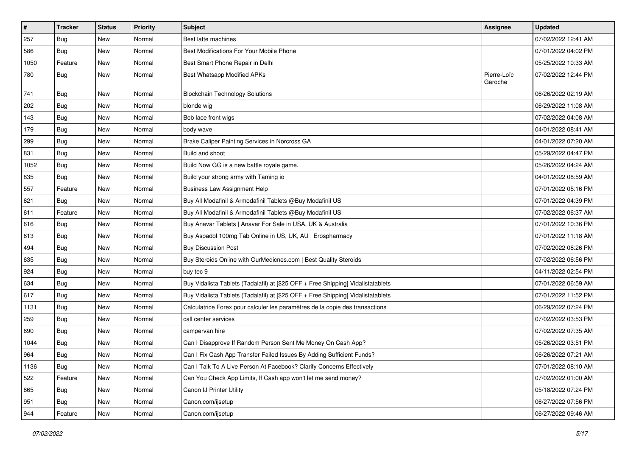| $\vert$ # | <b>Tracker</b> | <b>Status</b> | <b>Priority</b> | Subject                                                                          | <b>Assignee</b>        | <b>Updated</b>      |
|-----------|----------------|---------------|-----------------|----------------------------------------------------------------------------------|------------------------|---------------------|
| 257       | Bug            | New           | Normal          | Best latte machines                                                              |                        | 07/02/2022 12:41 AM |
| 586       | Bug            | <b>New</b>    | Normal          | Best Modifications For Your Mobile Phone                                         |                        | 07/01/2022 04:02 PM |
| 1050      | Feature        | New           | Normal          | Best Smart Phone Repair in Delhi                                                 |                        | 05/25/2022 10:33 AM |
| 780       | <b>Bug</b>     | New           | Normal          | Best Whatsapp Modified APKs                                                      | Pierre-Loïc<br>Garoche | 07/02/2022 12:44 PM |
| 741       | Bug            | New           | Normal          | <b>Blockchain Technology Solutions</b>                                           |                        | 06/26/2022 02:19 AM |
| 202       | <b>Bug</b>     | New           | Normal          | blonde wig                                                                       |                        | 06/29/2022 11:08 AM |
| 143       | Bug            | New           | Normal          | Bob lace front wigs                                                              |                        | 07/02/2022 04:08 AM |
| 179       | <b>Bug</b>     | New           | Normal          | body wave                                                                        |                        | 04/01/2022 08:41 AM |
| 299       | Bug            | New           | Normal          | Brake Caliper Painting Services in Norcross GA                                   |                        | 04/01/2022 07:20 AM |
| 831       | <b>Bug</b>     | New           | Normal          | Build and shoot                                                                  |                        | 05/29/2022 04:47 PM |
| 1052      | <b>Bug</b>     | New           | Normal          | Build Now GG is a new battle royale game.                                        |                        | 05/26/2022 04:24 AM |
| 835       | Bug            | New           | Normal          | Build your strong army with Taming io                                            |                        | 04/01/2022 08:59 AM |
| 557       | Feature        | New           | Normal          | <b>Business Law Assignment Help</b>                                              |                        | 07/01/2022 05:16 PM |
| 621       | <b>Bug</b>     | New           | Normal          | Buy All Modafinil & Armodafinil Tablets @Buy Modafinil US                        |                        | 07/01/2022 04:39 PM |
| 611       | Feature        | New           | Normal          | Buy All Modafinil & Armodafinil Tablets @Buy Modafinil US                        |                        | 07/02/2022 06:37 AM |
| 616       | <b>Bug</b>     | New           | Normal          | Buy Anavar Tablets   Anavar For Sale in USA, UK & Australia                      |                        | 07/01/2022 10:36 PM |
| 613       | Bug            | New           | Normal          | Buy Aspadol 100mg Tab Online in US, UK, AU   Erospharmacy                        |                        | 07/01/2022 11:18 AM |
| 494       | <b>Bug</b>     | New           | Normal          | <b>Buy Discussion Post</b>                                                       |                        | 07/02/2022 08:26 PM |
| 635       | <b>Bug</b>     | New           | Normal          | Buy Steroids Online with OurMedicnes.com   Best Quality Steroids                 |                        | 07/02/2022 06:56 PM |
| 924       | Bug            | New           | Normal          | buy tec 9                                                                        |                        | 04/11/2022 02:54 PM |
| 634       | <b>Bug</b>     | New           | Normal          | Buy Vidalista Tablets (Tadalafil) at [\$25 OFF + Free Shipping] Vidalistatablets |                        | 07/01/2022 06:59 AM |
| 617       | Bug            | New           | Normal          | Buy Vidalista Tablets (Tadalafil) at [\$25 OFF + Free Shipping] Vidalistatablets |                        | 07/01/2022 11:52 PM |
| 1131      | <b>Bug</b>     | New           | Normal          | Calculatrice Forex pour calculer les paramètres de la copie des transactions     |                        | 06/29/2022 07:24 PM |
| 259       | Bug            | New           | Normal          | call center services                                                             |                        | 07/02/2022 03:53 PM |
| 690       | <b>Bug</b>     | New           | Normal          | campervan hire                                                                   |                        | 07/02/2022 07:35 AM |
| 1044      | Bug            | New           | Normal          | Can I Disapprove If Random Person Sent Me Money On Cash App?                     |                        | 05/26/2022 03:51 PM |
| 964       | <b>Bug</b>     | New           | Normal          | Can I Fix Cash App Transfer Failed Issues By Adding Sufficient Funds?            |                        | 06/26/2022 07:21 AM |
| 1136      | <b>Bug</b>     | New           | Normal          | Can I Talk To A Live Person At Facebook? Clarify Concerns Effectively            |                        | 07/01/2022 08:10 AM |
| 522       | Feature        | New           | Normal          | Can You Check App Limits, If Cash app won't let me send money?                   |                        | 07/02/2022 01:00 AM |
| 865       | Bug            | New           | Normal          | Canon IJ Printer Utility                                                         |                        | 05/18/2022 07:24 PM |
| 951       | <b>Bug</b>     | New           | Normal          | Canon.com/ijsetup                                                                |                        | 06/27/2022 07:56 PM |
| 944       | Feature        | New           | Normal          | Canon.com/ijsetup                                                                |                        | 06/27/2022 09:46 AM |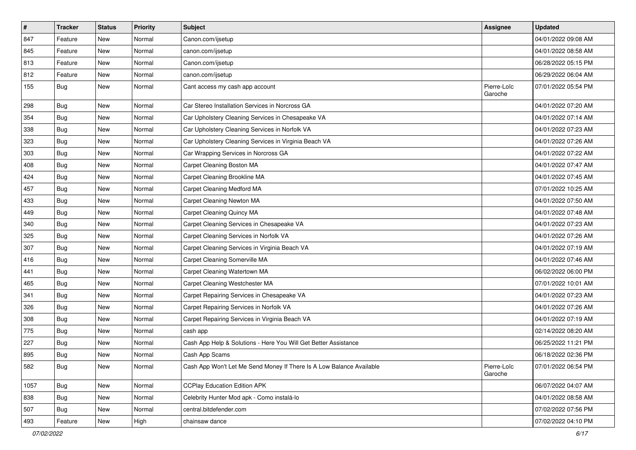| $\sharp$ | <b>Tracker</b> | <b>Status</b> | <b>Priority</b> | Subject                                                              | <b>Assignee</b>        | <b>Updated</b>      |
|----------|----------------|---------------|-----------------|----------------------------------------------------------------------|------------------------|---------------------|
| 847      | Feature        | New           | Normal          | Canon.com/ijsetup                                                    |                        | 04/01/2022 09:08 AM |
| 845      | Feature        | New           | Normal          | canon.com/ijsetup                                                    |                        | 04/01/2022 08:58 AM |
| 813      | Feature        | New           | Normal          | Canon.com/ijsetup                                                    |                        | 06/28/2022 05:15 PM |
| 812      | Feature        | New           | Normal          | canon.com/ijsetup                                                    |                        | 06/29/2022 06:04 AM |
| 155      | Bug            | New           | Normal          | Cant access my cash app account                                      | Pierre-Loïc<br>Garoche | 07/01/2022 05:54 PM |
| 298      | Bug            | New           | Normal          | Car Stereo Installation Services in Norcross GA                      |                        | 04/01/2022 07:20 AM |
| 354      | Bug            | New           | Normal          | Car Upholstery Cleaning Services in Chesapeake VA                    |                        | 04/01/2022 07:14 AM |
| 338      | <b>Bug</b>     | New           | Normal          | Car Upholstery Cleaning Services in Norfolk VA                       |                        | 04/01/2022 07:23 AM |
| 323      | Bug            | New           | Normal          | Car Upholstery Cleaning Services in Virginia Beach VA                |                        | 04/01/2022 07:26 AM |
| 303      | Bug            | New           | Normal          | Car Wrapping Services in Norcross GA                                 |                        | 04/01/2022 07:22 AM |
| 408      | <b>Bug</b>     | New           | Normal          | Carpet Cleaning Boston MA                                            |                        | 04/01/2022 07:47 AM |
| 424      | Bug            | New           | Normal          | Carpet Cleaning Brookline MA                                         |                        | 04/01/2022 07:45 AM |
| 457      | Bug            | New           | Normal          | Carpet Cleaning Medford MA                                           |                        | 07/01/2022 10:25 AM |
| 433      | <b>Bug</b>     | New           | Normal          | Carpet Cleaning Newton MA                                            |                        | 04/01/2022 07:50 AM |
| 449      | <b>Bug</b>     | New           | Normal          | <b>Carpet Cleaning Quincy MA</b>                                     |                        | 04/01/2022 07:48 AM |
| 340      | <b>Bug</b>     | <b>New</b>    | Normal          | Carpet Cleaning Services in Chesapeake VA                            |                        | 04/01/2022 07:23 AM |
| 325      | Bug            | New           | Normal          | Carpet Cleaning Services in Norfolk VA                               |                        | 04/01/2022 07:26 AM |
| 307      | <b>Bug</b>     | New           | Normal          | Carpet Cleaning Services in Virginia Beach VA                        |                        | 04/01/2022 07:19 AM |
| 416      | Bug            | New           | Normal          | Carpet Cleaning Somerville MA                                        |                        | 04/01/2022 07:46 AM |
| 441      | Bug            | New           | Normal          | Carpet Cleaning Watertown MA                                         |                        | 06/02/2022 06:00 PM |
| 465      | <b>Bug</b>     | New           | Normal          | Carpet Cleaning Westchester MA                                       |                        | 07/01/2022 10:01 AM |
| 341      | Bug            | New           | Normal          | Carpet Repairing Services in Chesapeake VA                           |                        | 04/01/2022 07:23 AM |
| 326      | Bug            | New           | Normal          | Carpet Repairing Services in Norfolk VA                              |                        | 04/01/2022 07:26 AM |
| 308      | Bug            | New           | Normal          | Carpet Repairing Services in Virginia Beach VA                       |                        | 04/01/2022 07:19 AM |
| 775      | <b>Bug</b>     | New           | Normal          | cash app                                                             |                        | 02/14/2022 08:20 AM |
| 227      | <b>Bug</b>     | New           | Normal          | Cash App Help & Solutions - Here You Will Get Better Assistance      |                        | 06/25/2022 11:21 PM |
| 895      | <b>Bug</b>     | New           | Normal          | Cash App Scams                                                       |                        | 06/18/2022 02:36 PM |
| 582      | <b>Bug</b>     | New           | Normal          | Cash App Won't Let Me Send Money If There Is A Low Balance Available | Pierre-Loïc<br>Garoche | 07/01/2022 06:54 PM |
| 1057     | <b>Bug</b>     | New           | Normal          | <b>CCPlay Education Edition APK</b>                                  |                        | 06/07/2022 04:07 AM |
| 838      | <b>Bug</b>     | New           | Normal          | Celebrity Hunter Mod apk - Como instalá-lo                           |                        | 04/01/2022 08:58 AM |
| 507      | <b>Bug</b>     | New           | Normal          | central.bitdefender.com                                              |                        | 07/02/2022 07:56 PM |
| 493      | Feature        | New           | High            | chainsaw dance                                                       |                        | 07/02/2022 04:10 PM |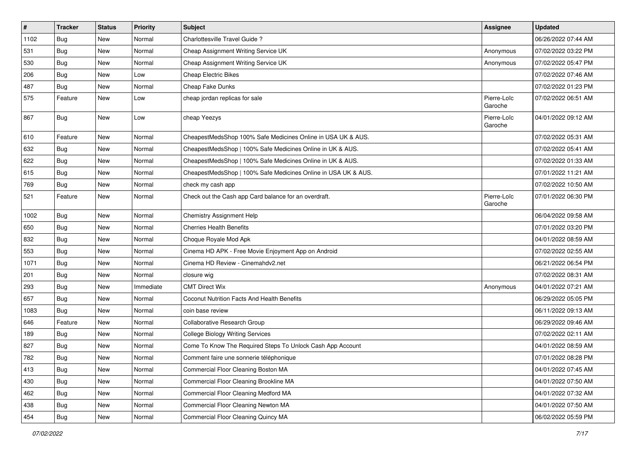| $\sharp$ | <b>Tracker</b> | <b>Status</b> | <b>Priority</b> | Subject                                                        | <b>Assignee</b>        | <b>Updated</b>      |
|----------|----------------|---------------|-----------------|----------------------------------------------------------------|------------------------|---------------------|
| 1102     | Bug            | New           | Normal          | Charlottesville Travel Guide?                                  |                        | 06/26/2022 07:44 AM |
| 531      | Bug            | New           | Normal          | Cheap Assignment Writing Service UK                            | Anonymous              | 07/02/2022 03:22 PM |
| 530      | <b>Bug</b>     | New           | Normal          | Cheap Assignment Writing Service UK                            | Anonymous              | 07/02/2022 05:47 PM |
| 206      | Bug            | New           | Low             | <b>Cheap Electric Bikes</b>                                    |                        | 07/02/2022 07:46 AM |
| 487      | <b>Bug</b>     | <b>New</b>    | Normal          | Cheap Fake Dunks                                               |                        | 07/02/2022 01:23 PM |
| 575      | Feature        | New           | Low             | cheap jordan replicas for sale                                 | Pierre-Loïc<br>Garoche | 07/02/2022 06:51 AM |
| 867      | Bug            | New           | Low             | cheap Yeezys                                                   | Pierre-Loïc<br>Garoche | 04/01/2022 09:12 AM |
| 610      | Feature        | <b>New</b>    | Normal          | CheapestMedsShop 100% Safe Medicines Online in USA UK & AUS.   |                        | 07/02/2022 05:31 AM |
| 632      | <b>Bug</b>     | New           | Normal          | CheapestMedsShop   100% Safe Medicines Online in UK & AUS.     |                        | 07/02/2022 05:41 AM |
| 622      | Bug            | New           | Normal          | CheapestMedsShop   100% Safe Medicines Online in UK & AUS.     |                        | 07/02/2022 01:33 AM |
| 615      | Bug            | New           | Normal          | CheapestMedsShop   100% Safe Medicines Online in USA UK & AUS. |                        | 07/01/2022 11:21 AM |
| 769      | <b>Bug</b>     | New           | Normal          | check my cash app                                              |                        | 07/02/2022 10:50 AM |
| 521      | Feature        | New           | Normal          | Check out the Cash app Card balance for an overdraft.          | Pierre-Loïc<br>Garoche | 07/01/2022 06:30 PM |
| 1002     | Bug            | New           | Normal          | Chemistry Assignment Help                                      |                        | 06/04/2022 09:58 AM |
| 650      | Bug            | New           | Normal          | <b>Cherries Health Benefits</b>                                |                        | 07/01/2022 03:20 PM |
| 832      | <b>Bug</b>     | New           | Normal          | Choque Royale Mod Apk                                          |                        | 04/01/2022 08:59 AM |
| 553      | Bug            | New           | Normal          | Cinema HD APK - Free Movie Enjoyment App on Android            |                        | 07/02/2022 02:55 AM |
| 1071     | <b>Bug</b>     | New           | Normal          | Cinema HD Review - Cinemahdv2.net                              |                        | 06/21/2022 06:54 PM |
| 201      | Bug            | New           | Normal          | closure wig                                                    |                        | 07/02/2022 08:31 AM |
| 293      | <b>Bug</b>     | New           | Immediate       | <b>CMT Direct Wix</b>                                          | Anonymous              | 04/01/2022 07:21 AM |
| 657      | Bug            | New           | Normal          | Coconut Nutrition Facts And Health Benefits                    |                        | 06/29/2022 05:05 PM |
| 1083     | <b>Bug</b>     | New           | Normal          | coin base review                                               |                        | 06/11/2022 09:13 AM |
| 646      | Feature        | New           | Normal          | Collaborative Research Group                                   |                        | 06/29/2022 09:46 AM |
| 189      | <b>Bug</b>     | New           | Normal          | <b>College Biology Writing Services</b>                        |                        | 07/02/2022 02:11 AM |
| 827      | <b>Bug</b>     | New           | Normal          | Come To Know The Required Steps To Unlock Cash App Account     |                        | 04/01/2022 08:59 AM |
| 782      | Bug            | New           | Normal          | Comment faire une sonnerie téléphonique                        |                        | 07/01/2022 08:28 PM |
| 413      | Bug            | New           | Normal          | Commercial Floor Cleaning Boston MA                            |                        | 04/01/2022 07:45 AM |
| 430      | <b>Bug</b>     | New           | Normal          | Commercial Floor Cleaning Brookline MA                         |                        | 04/01/2022 07:50 AM |
| 462      | <b>Bug</b>     | New           | Normal          | Commercial Floor Cleaning Medford MA                           |                        | 04/01/2022 07:32 AM |
| 438      | <b>Bug</b>     | New           | Normal          | Commercial Floor Cleaning Newton MA                            |                        | 04/01/2022 07:50 AM |
| 454      | Bug            | New           | Normal          | Commercial Floor Cleaning Quincy MA                            |                        | 06/02/2022 05:59 PM |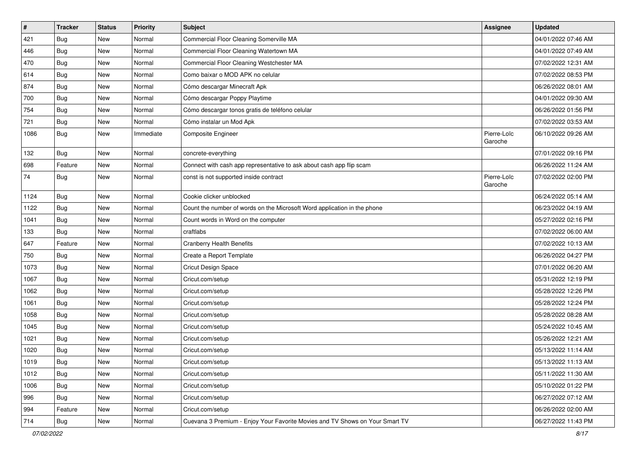| $\sharp$ | <b>Tracker</b> | <b>Status</b> | <b>Priority</b> | Subject                                                                      | <b>Assignee</b>        | <b>Updated</b>      |
|----------|----------------|---------------|-----------------|------------------------------------------------------------------------------|------------------------|---------------------|
| 421      | <b>Bug</b>     | New           | Normal          | Commercial Floor Cleaning Somerville MA                                      |                        | 04/01/2022 07:46 AM |
| 446      | <b>Bug</b>     | New           | Normal          | Commercial Floor Cleaning Watertown MA                                       |                        | 04/01/2022 07:49 AM |
| 470      | Bug            | New           | Normal          | Commercial Floor Cleaning Westchester MA                                     |                        | 07/02/2022 12:31 AM |
| 614      | <b>Bug</b>     | New           | Normal          | Como baixar o MOD APK no celular                                             |                        | 07/02/2022 08:53 PM |
| 874      | Bug            | New           | Normal          | Cómo descargar Minecraft Apk                                                 |                        | 06/26/2022 08:01 AM |
| 700      | Bug            | New           | Normal          | Cómo descargar Poppy Playtime                                                |                        | 04/01/2022 09:30 AM |
| 754      | Bug            | New           | Normal          | Cómo descargar tonos gratis de teléfono celular                              |                        | 06/26/2022 01:56 PM |
| 721      | Bug            | New           | Normal          | Cómo instalar un Mod Apk                                                     |                        | 07/02/2022 03:53 AM |
| 1086     | <b>Bug</b>     | New           | Immediate       | Composite Engineer                                                           | Pierre-Loïc<br>Garoche | 06/10/2022 09:26 AM |
| 132      | Bug            | New           | Normal          | concrete-everything                                                          |                        | 07/01/2022 09:16 PM |
| 698      | Feature        | New           | Normal          | Connect with cash app representative to ask about cash app flip scam         |                        | 06/26/2022 11:24 AM |
| 74       | Bug            | New           | Normal          | const is not supported inside contract                                       | Pierre-Loïc<br>Garoche | 07/02/2022 02:00 PM |
| 1124     | Bug            | New           | Normal          | Cookie clicker unblocked                                                     |                        | 06/24/2022 05:14 AM |
| 1122     | Bug            | New           | Normal          | Count the number of words on the Microsoft Word application in the phone     |                        | 06/23/2022 04:19 AM |
| 1041     | <b>Bug</b>     | <b>New</b>    | Normal          | Count words in Word on the computer                                          |                        | 05/27/2022 02:16 PM |
| 133      | Bug            | New           | Normal          | craftlabs                                                                    |                        | 07/02/2022 06:00 AM |
| 647      | Feature        | New           | Normal          | <b>Cranberry Health Benefits</b>                                             |                        | 07/02/2022 10:13 AM |
| 750      | <b>Bug</b>     | New           | Normal          | Create a Report Template                                                     |                        | 06/26/2022 04:27 PM |
| 1073     | Bug            | New           | Normal          | Cricut Design Space                                                          |                        | 07/01/2022 06:20 AM |
| 1067     | Bug            | New           | Normal          | Cricut.com/setup                                                             |                        | 05/31/2022 12:19 PM |
| 1062     | <b>Bug</b>     | New           | Normal          | Cricut.com/setup                                                             |                        | 05/28/2022 12:26 PM |
| 1061     | <b>Bug</b>     | New           | Normal          | Cricut.com/setup                                                             |                        | 05/28/2022 12:24 PM |
| 1058     | <b>Bug</b>     | New           | Normal          | Cricut.com/setup                                                             |                        | 05/28/2022 08:28 AM |
| 1045     | Bug            | New           | Normal          | Cricut.com/setup                                                             |                        | 05/24/2022 10:45 AM |
| 1021     | <b>Bug</b>     | New           | Normal          | Cricut.com/setup                                                             |                        | 05/26/2022 12:21 AM |
| 1020     | <b>Bug</b>     | New           | Normal          | Cricut.com/setup                                                             |                        | 05/13/2022 11:14 AM |
| 1019     | Bug            | New           | Normal          | Cricut.com/setup                                                             |                        | 05/13/2022 11:13 AM |
| 1012     | <b>Bug</b>     | New           | Normal          | Cricut.com/setup                                                             |                        | 05/11/2022 11:30 AM |
| 1006     | Bug            | New           | Normal          | Cricut.com/setup                                                             |                        | 05/10/2022 01:22 PM |
| 996      | <b>Bug</b>     | New           | Normal          | Cricut.com/setup                                                             |                        | 06/27/2022 07:12 AM |
| 994      | Feature        | New           | Normal          | Cricut.com/setup                                                             |                        | 06/26/2022 02:00 AM |
| 714      | <b>Bug</b>     | New           | Normal          | Cuevana 3 Premium - Enjoy Your Favorite Movies and TV Shows on Your Smart TV |                        | 06/27/2022 11:43 PM |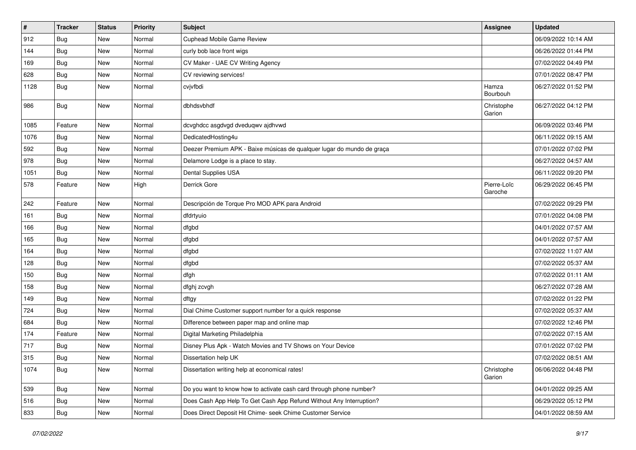| $\pmb{\#}$ | <b>Tracker</b> | <b>Status</b> | <b>Priority</b> | <b>Subject</b>                                                         | Assignee               | <b>Updated</b>      |
|------------|----------------|---------------|-----------------|------------------------------------------------------------------------|------------------------|---------------------|
| 912        | <b>Bug</b>     | New           | Normal          | Cuphead Mobile Game Review                                             |                        | 06/09/2022 10:14 AM |
| 144        | Bug            | New           | Normal          | curly bob lace front wigs                                              |                        | 06/26/2022 01:44 PM |
| 169        | <b>Bug</b>     | New           | Normal          | CV Maker - UAE CV Writing Agency                                       |                        | 07/02/2022 04:49 PM |
| 628        | Bug            | New           | Normal          | CV reviewing services!                                                 |                        | 07/01/2022 08:47 PM |
| 1128       | <b>Bug</b>     | New           | Normal          | cvjvfbdi                                                               | Hamza<br>Bourbouh      | 06/27/2022 01:52 PM |
| 986        | <b>Bug</b>     | New           | Normal          | dbhdsvbhdf                                                             | Christophe<br>Garion   | 06/27/2022 04:12 PM |
| 1085       | Feature        | New           | Normal          | dcvghdcc asgdvgd dveduqwv ajdhvwd                                      |                        | 06/09/2022 03:46 PM |
| 1076       | Bug            | New           | Normal          | DedicatedHosting4u                                                     |                        | 06/11/2022 09:15 AM |
| 592        | Bug            | New           | Normal          | Deezer Premium APK - Baixe músicas de qualquer lugar do mundo de graça |                        | 07/01/2022 07:02 PM |
| 978        | <b>Bug</b>     | New           | Normal          | Delamore Lodge is a place to stay.                                     |                        | 06/27/2022 04:57 AM |
| 1051       | <b>Bug</b>     | New           | Normal          | Dental Supplies USA                                                    |                        | 06/11/2022 09:20 PM |
| 578        | Feature        | New           | High            | Derrick Gore                                                           | Pierre-Loïc<br>Garoche | 06/29/2022 06:45 PM |
| 242        | Feature        | New           | Normal          | Descripción de Torque Pro MOD APK para Android                         |                        | 07/02/2022 09:29 PM |
| 161        | <b>Bug</b>     | New           | Normal          | dfdrtyuio                                                              |                        | 07/01/2022 04:08 PM |
| 166        | Bug            | New           | Normal          | dfgbd                                                                  |                        | 04/01/2022 07:57 AM |
| 165        | <b>Bug</b>     | New           | Normal          | dfgbd                                                                  |                        | 04/01/2022 07:57 AM |
| 164        | Bug            | New           | Normal          | dfgbd                                                                  |                        | 07/02/2022 11:07 AM |
| 128        | <b>Bug</b>     | New           | Normal          | dfgbd                                                                  |                        | 07/02/2022 05:37 AM |
| 150        | <b>Bug</b>     | New           | Normal          | dfgh                                                                   |                        | 07/02/2022 01:11 AM |
| 158        | Bug            | New           | Normal          | dfghj zcvgh                                                            |                        | 06/27/2022 07:28 AM |
| 149        | <b>Bug</b>     | New           | Normal          | dftgy                                                                  |                        | 07/02/2022 01:22 PM |
| 724        | <b>Bug</b>     | New           | Normal          | Dial Chime Customer support number for a quick response                |                        | 07/02/2022 05:37 AM |
| 684        | <b>Bug</b>     | New           | Normal          | Difference between paper map and online map                            |                        | 07/02/2022 12:46 PM |
| 174        | Feature        | New           | Normal          | Digital Marketing Philadelphia                                         |                        | 07/02/2022 07:15 AM |
| 717        | <b>Bug</b>     | New           | Normal          | Disney Plus Apk - Watch Movies and TV Shows on Your Device             |                        | 07/01/2022 07:02 PM |
| 315        | Bug            | New           | Normal          | Dissertation help UK                                                   |                        | 07/02/2022 08:51 AM |
| 1074       | <b>Bug</b>     | New           | Normal          | Dissertation writing help at economical rates!                         | Christophe<br>Garion   | 06/06/2022 04:48 PM |
| 539        | Bug            | New           | Normal          | Do you want to know how to activate cash card through phone number?    |                        | 04/01/2022 09:25 AM |
| 516        | Bug            | New           | Normal          | Does Cash App Help To Get Cash App Refund Without Any Interruption?    |                        | 06/29/2022 05:12 PM |
| 833        | <b>Bug</b>     | New           | Normal          | Does Direct Deposit Hit Chime- seek Chime Customer Service             |                        | 04/01/2022 08:59 AM |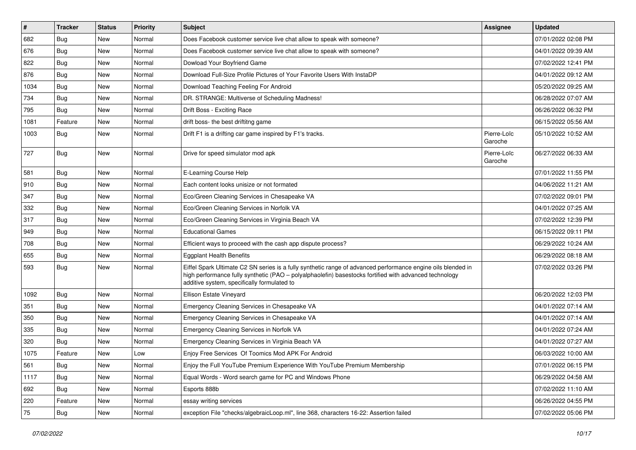| #    | <b>Tracker</b> | <b>Status</b> | <b>Priority</b> | <b>Subject</b>                                                                                                                                                                                                                                                        | <b>Assignee</b>        | <b>Updated</b>      |
|------|----------------|---------------|-----------------|-----------------------------------------------------------------------------------------------------------------------------------------------------------------------------------------------------------------------------------------------------------------------|------------------------|---------------------|
| 682  | <b>Bug</b>     | New           | Normal          | Does Facebook customer service live chat allow to speak with someone?                                                                                                                                                                                                 |                        | 07/01/2022 02:08 PM |
| 676  | Bug            | New           | Normal          | Does Facebook customer service live chat allow to speak with someone?                                                                                                                                                                                                 |                        | 04/01/2022 09:39 AM |
| 822  | <b>Bug</b>     | New           | Normal          | Dowload Your Boyfriend Game                                                                                                                                                                                                                                           |                        | 07/02/2022 12:41 PM |
| 876  | <b>Bug</b>     | New           | Normal          | Download Full-Size Profile Pictures of Your Favorite Users With InstaDP                                                                                                                                                                                               |                        | 04/01/2022 09:12 AM |
| 1034 | Bug            | New           | Normal          | Download Teaching Feeling For Android                                                                                                                                                                                                                                 |                        | 05/20/2022 09:25 AM |
| 734  | <b>Bug</b>     | New           | Normal          | DR. STRANGE: Multiverse of Scheduling Madness!                                                                                                                                                                                                                        |                        | 06/28/2022 07:07 AM |
| 795  | <b>Bug</b>     | New           | Normal          | Drift Boss - Exciting Race                                                                                                                                                                                                                                            |                        | 06/26/2022 06:32 PM |
| 1081 | Feature        | <b>New</b>    | Normal          | drift boss- the best driftitng game                                                                                                                                                                                                                                   |                        | 06/15/2022 05:56 AM |
| 1003 | Bug            | New           | Normal          | Drift F1 is a drifting car game inspired by F1's tracks.                                                                                                                                                                                                              | Pierre-Loïc<br>Garoche | 05/10/2022 10:52 AM |
| 727  | Bug            | New           | Normal          | Drive for speed simulator mod apk                                                                                                                                                                                                                                     | Pierre-Loïc<br>Garoche | 06/27/2022 06:33 AM |
| 581  | Bug            | New           | Normal          | E-Learning Course Help                                                                                                                                                                                                                                                |                        | 07/01/2022 11:55 PM |
| 910  | <b>Bug</b>     | New           | Normal          | Each content looks unisize or not formated                                                                                                                                                                                                                            |                        | 04/06/2022 11:21 AM |
| 347  | <b>Bug</b>     | New           | Normal          | Eco/Green Cleaning Services in Chesapeake VA                                                                                                                                                                                                                          |                        | 07/02/2022 09:01 PM |
| 332  | Bug            | New           | Normal          | Eco/Green Cleaning Services in Norfolk VA                                                                                                                                                                                                                             |                        | 04/01/2022 07:25 AM |
| 317  | Bug            | New           | Normal          | Eco/Green Cleaning Services in Virginia Beach VA                                                                                                                                                                                                                      |                        | 07/02/2022 12:39 PM |
| 949  | <b>Bug</b>     | New           | Normal          | <b>Educational Games</b>                                                                                                                                                                                                                                              |                        | 06/15/2022 09:11 PM |
| 708  | Bug            | New           | Normal          | Efficient ways to proceed with the cash app dispute process?                                                                                                                                                                                                          |                        | 06/29/2022 10:24 AM |
| 655  | <b>Bug</b>     | New           | Normal          | <b>Eggplant Health Benefits</b>                                                                                                                                                                                                                                       |                        | 06/29/2022 08:18 AM |
| 593  | Bug            | New           | Normal          | Eiffel Spark Ultimate C2 SN series is a fully synthetic range of advanced performance engine oils blended in<br>high performance fully synthetic (PAO - polyalphaolefin) basestocks fortified with advanced technology<br>additive system, specifically formulated to |                        | 07/02/2022 03:26 PM |
| 1092 | Bug            | <b>New</b>    | Normal          | Ellison Estate Vineyard                                                                                                                                                                                                                                               |                        | 06/20/2022 12:03 PM |
| 351  | <b>Bug</b>     | New           | Normal          | Emergency Cleaning Services in Chesapeake VA                                                                                                                                                                                                                          |                        | 04/01/2022 07:14 AM |
| 350  | <b>Bug</b>     | <b>New</b>    | Normal          | Emergency Cleaning Services in Chesapeake VA                                                                                                                                                                                                                          |                        | 04/01/2022 07:14 AM |
| 335  | <b>Bug</b>     | New           | Normal          | Emergency Cleaning Services in Norfolk VA                                                                                                                                                                                                                             |                        | 04/01/2022 07:24 AM |
| 320  | <b>Bug</b>     | <b>New</b>    | Normal          | Emergency Cleaning Services in Virginia Beach VA                                                                                                                                                                                                                      |                        | 04/01/2022 07:27 AM |
| 1075 | Feature        | New           | Low             | Enjoy Free Services Of Toomics Mod APK For Android                                                                                                                                                                                                                    |                        | 06/03/2022 10:00 AM |
| 561  | Bug            | New           | Normal          | Enjoy the Full YouTube Premium Experience With YouTube Premium Membership                                                                                                                                                                                             |                        | 07/01/2022 06:15 PM |
| 1117 | Bug            | New           | Normal          | Equal Words - Word search game for PC and Windows Phone                                                                                                                                                                                                               |                        | 06/29/2022 04:58 AM |
| 692  | <b>Bug</b>     | New           | Normal          | Esports 888b                                                                                                                                                                                                                                                          |                        | 07/02/2022 11:10 AM |
| 220  | Feature        | New           | Normal          | essay writing services                                                                                                                                                                                                                                                |                        | 06/26/2022 04:55 PM |
| 75   | Bug            | New           | Normal          | exception File "checks/algebraicLoop.ml", line 368, characters 16-22: Assertion failed                                                                                                                                                                                |                        | 07/02/2022 05:06 PM |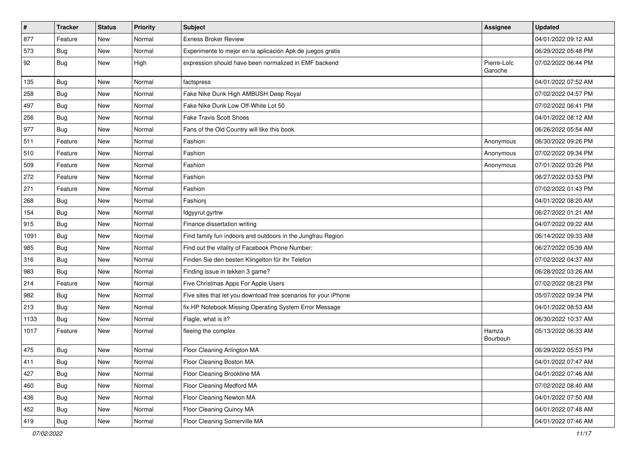| $\sharp$ | <b>Tracker</b> | <b>Status</b> | <b>Priority</b> | Subject                                                         | <b>Assignee</b>        | <b>Updated</b>      |
|----------|----------------|---------------|-----------------|-----------------------------------------------------------------|------------------------|---------------------|
| 877      | Feature        | New           | Normal          | <b>Exness Broker Review</b>                                     |                        | 04/01/2022 09:12 AM |
| 573      | <b>Bug</b>     | New           | Normal          | Experimente lo mejor en la aplicación Apk de juegos gratis      |                        | 06/29/2022 05:48 PM |
| 92       | Bug            | New           | High            | expression should have been normalized in EMF backend           | Pierre-Loïc<br>Garoche | 07/02/2022 06:44 PM |
| 135      | Bug            | New           | Normal          | factspress                                                      |                        | 04/01/2022 07:52 AM |
| 258      | <b>Bug</b>     | New           | Normal          | Fake Nike Dunk High AMBUSH Deep Royal                           |                        | 07/02/2022 04:57 PM |
| 497      | Bug            | New           | Normal          | Fake Nike Dunk Low Off-White Lot 50                             |                        | 07/02/2022 06:41 PM |
| 256      | <b>Bug</b>     | New           | Normal          | <b>Fake Travis Scott Shoes</b>                                  |                        | 04/01/2022 08:12 AM |
| 977      | <b>Bug</b>     | New           | Normal          | Fans of the Old Country will like this book.                    |                        | 06/26/2022 05:54 AM |
| 511      | Feature        | New           | Normal          | Fashion                                                         | Anonymous              | 06/30/2022 09:26 PM |
| 510      | Feature        | New           | Normal          | Fashion                                                         | Anonymous              | 07/02/2022 09:34 PM |
| 509      | Feature        | New           | Normal          | Fashion                                                         | Anonymous              | 07/01/2022 03:26 PM |
| 272      | Feature        | New           | Normal          | Fashion                                                         |                        | 06/27/2022 03:53 PM |
| 271      | Feature        | New           | Normal          | Fashion                                                         |                        | 07/02/2022 01:43 PM |
| 268      | <b>Bug</b>     | New           | Normal          | Fashionj                                                        |                        | 04/01/2022 08:20 AM |
| 154      | <b>Bug</b>     | New           | Normal          | fdgyyrut gyrtrw                                                 |                        | 06/27/2022 01:21 AM |
| 915      | <b>Bug</b>     | <b>New</b>    | Normal          | Finance dissertation writing                                    |                        | 04/07/2022 09:22 AM |
| 1091     | Bug            | New           | Normal          | Find family fun indoors and outdoors in the Jungfrau Region     |                        | 06/14/2022 09:33 AM |
| 985      | <b>Bug</b>     | New           | Normal          | Find out the vitality of Facebook Phone Number:                 |                        | 06/27/2022 05:39 AM |
| 316      | Bug            | New           | Normal          | Finden Sie den besten Klingelton für Ihr Telefon                |                        | 07/02/2022 04:37 AM |
| 983      | <b>Bug</b>     | <b>New</b>    | Normal          | Finding issue in tekken 3 game?                                 |                        | 06/28/2022 03:26 AM |
| 214      | Feature        | New           | Normal          | Five Christmas Apps For Apple Users                             |                        | 07/02/2022 08:23 PM |
| 982      | Bug            | New           | Normal          | Five sites that let you download free scenarios for your iPhone |                        | 05/07/2022 09:34 PM |
| 213      | <b>Bug</b>     | New           | Normal          | fix HP Notebook Missing Operating System Error Message          |                        | 04/01/2022 08:53 AM |
| 1133     | <b>Bug</b>     | New           | Normal          | Flagle, what is it?                                             |                        | 06/30/2022 10:37 AM |
| 1017     | Feature        | New           | Normal          | fleeing the complex                                             | Hamza<br>Bourbouh      | 05/13/2022 06:33 AM |
| 475      | <b>Bug</b>     | New           | Normal          | Floor Cleaning Arlington MA                                     |                        | 06/29/2022 05:53 PM |
| 411      | Bug            | New           | Normal          | Floor Cleaning Boston MA                                        |                        | 04/01/2022 07:47 AM |
| 427      | <b>Bug</b>     | New           | Normal          | Floor Cleaning Brookline MA                                     |                        | 04/01/2022 07:46 AM |
| 460      | Bug            | New           | Normal          | Floor Cleaning Medford MA                                       |                        | 07/02/2022 08:40 AM |
| 436      | <b>Bug</b>     | New           | Normal          | Floor Cleaning Newton MA                                        |                        | 04/01/2022 07:50 AM |
| 452      | <b>Bug</b>     | New           | Normal          | Floor Cleaning Quincy MA                                        |                        | 04/01/2022 07:48 AM |
| 419      | <b>Bug</b>     | New           | Normal          | Floor Cleaning Somerville MA                                    |                        | 04/01/2022 07:46 AM |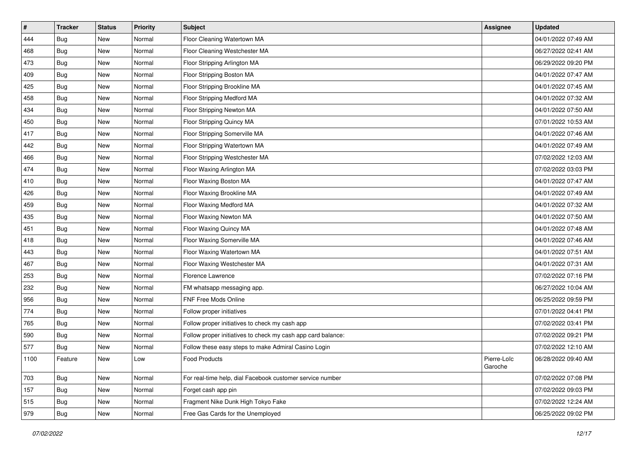| #    | <b>Tracker</b> | <b>Status</b> | Priority | <b>Subject</b>                                               | <b>Assignee</b>        | <b>Updated</b>      |
|------|----------------|---------------|----------|--------------------------------------------------------------|------------------------|---------------------|
| 444  | <b>Bug</b>     | New           | Normal   | Floor Cleaning Watertown MA                                  |                        | 04/01/2022 07:49 AM |
| 468  | <b>Bug</b>     | New           | Normal   | Floor Cleaning Westchester MA                                |                        | 06/27/2022 02:41 AM |
| 473  | <b>Bug</b>     | New           | Normal   | Floor Stripping Arlington MA                                 |                        | 06/29/2022 09:20 PM |
| 409  | <b>Bug</b>     | New           | Normal   | Floor Stripping Boston MA                                    |                        | 04/01/2022 07:47 AM |
| 425  | Bug            | New           | Normal   | Floor Stripping Brookline MA                                 |                        | 04/01/2022 07:45 AM |
| 458  | <b>Bug</b>     | New           | Normal   | Floor Stripping Medford MA                                   |                        | 04/01/2022 07:32 AM |
| 434  | <b>Bug</b>     | New           | Normal   | Floor Stripping Newton MA                                    |                        | 04/01/2022 07:50 AM |
| 450  | <b>Bug</b>     | New           | Normal   | Floor Stripping Quincy MA                                    |                        | 07/01/2022 10:53 AM |
| 417  | <b>Bug</b>     | New           | Normal   | Floor Stripping Somerville MA                                |                        | 04/01/2022 07:46 AM |
| 442  | Bug            | New           | Normal   | Floor Stripping Watertown MA                                 |                        | 04/01/2022 07:49 AM |
| 466  | <b>Bug</b>     | New           | Normal   | Floor Stripping Westchester MA                               |                        | 07/02/2022 12:03 AM |
| 474  | Bug            | New           | Normal   | Floor Waxing Arlington MA                                    |                        | 07/02/2022 03:03 PM |
| 410  | <b>Bug</b>     | New           | Normal   | Floor Waxing Boston MA                                       |                        | 04/01/2022 07:47 AM |
| 426  | <b>Bug</b>     | New           | Normal   | Floor Waxing Brookline MA                                    |                        | 04/01/2022 07:49 AM |
| 459  | <b>Bug</b>     | New           | Normal   | Floor Waxing Medford MA                                      |                        | 04/01/2022 07:32 AM |
| 435  | <b>Bug</b>     | New           | Normal   | Floor Waxing Newton MA                                       |                        | 04/01/2022 07:50 AM |
| 451  | <b>Bug</b>     | New           | Normal   | Floor Waxing Quincy MA                                       |                        | 04/01/2022 07:48 AM |
| 418  | <b>Bug</b>     | New           | Normal   | Floor Waxing Somerville MA                                   |                        | 04/01/2022 07:46 AM |
| 443  | Bug            | New           | Normal   | Floor Waxing Watertown MA                                    |                        | 04/01/2022 07:51 AM |
| 467  | <b>Bug</b>     | New           | Normal   | Floor Waxing Westchester MA                                  |                        | 04/01/2022 07:31 AM |
| 253  | <b>Bug</b>     | New           | Normal   | Florence Lawrence                                            |                        | 07/02/2022 07:16 PM |
| 232  | <b>Bug</b>     | New           | Normal   | FM whatsapp messaging app.                                   |                        | 06/27/2022 10:04 AM |
| 956  | Bug            | New           | Normal   | FNF Free Mods Online                                         |                        | 06/25/2022 09:59 PM |
| 774  | <b>Bug</b>     | New           | Normal   | Follow proper initiatives                                    |                        | 07/01/2022 04:41 PM |
| 765  | Bug            | New           | Normal   | Follow proper initiatives to check my cash app               |                        | 07/02/2022 03:41 PM |
| 590  | Bug            | New           | Normal   | Follow proper initiatives to check my cash app card balance: |                        | 07/02/2022 09:21 PM |
| 577  | <b>Bug</b>     | New           | Normal   | Follow these easy steps to make Admiral Casino Login         |                        | 07/02/2022 12:10 AM |
| 1100 | Feature        | New           | Low      | Food Products                                                | Pierre-Loïc<br>Garoche | 06/28/2022 09:40 AM |
| 703  | Bug            | New           | Normal   | For real-time help, dial Facebook customer service number    |                        | 07/02/2022 07:08 PM |
| 157  | Bug            | New           | Normal   | Forget cash app pin                                          |                        | 07/02/2022 09:03 PM |
| 515  | <b>Bug</b>     | New           | Normal   | Fragment Nike Dunk High Tokyo Fake                           |                        | 07/02/2022 12:24 AM |
| 979  | <b>Bug</b>     | New           | Normal   | Free Gas Cards for the Unemployed                            |                        | 06/25/2022 09:02 PM |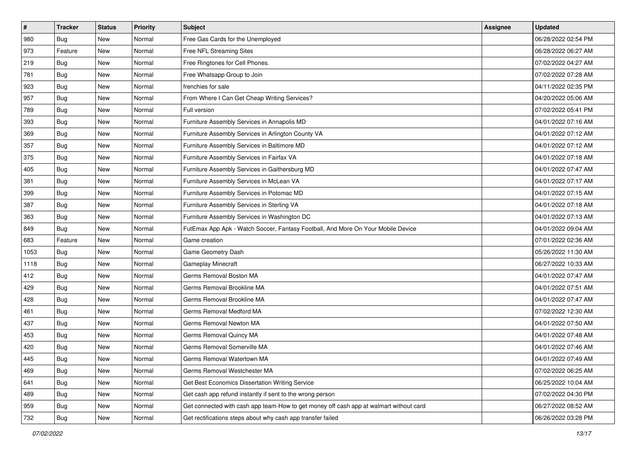| $\sharp$ | <b>Tracker</b> | <b>Status</b> | <b>Priority</b> | Subject                                                                                | <b>Assignee</b> | <b>Updated</b>      |
|----------|----------------|---------------|-----------------|----------------------------------------------------------------------------------------|-----------------|---------------------|
| 980      | <b>Bug</b>     | New           | Normal          | Free Gas Cards for the Unemployed                                                      |                 | 06/28/2022 02:54 PM |
| 973      | Feature        | New           | Normal          | Free NFL Streaming Sites                                                               |                 | 06/28/2022 06:27 AM |
| 219      | Bug            | New           | Normal          | Free Ringtones for Cell Phones.                                                        |                 | 07/02/2022 04:27 AM |
| 781      | Bug            | New           | Normal          | Free Whatsapp Group to Join                                                            |                 | 07/02/2022 07:28 AM |
| 923      | Bug            | New           | Normal          | frenchies for sale                                                                     |                 | 04/11/2022 02:35 PM |
| 957      | <b>Bug</b>     | New           | Normal          | From Where I Can Get Cheap Writing Services?                                           |                 | 04/20/2022 05:06 AM |
| 789      | Bug            | New           | Normal          | Full version                                                                           |                 | 07/02/2022 05:41 PM |
| 393      | <b>Bug</b>     | New           | Normal          | Furniture Assembly Services in Annapolis MD                                            |                 | 04/01/2022 07:16 AM |
| 369      | Bug            | New           | Normal          | Furniture Assembly Services in Arlington County VA                                     |                 | 04/01/2022 07:12 AM |
| 357      | Bug            | New           | Normal          | Furniture Assembly Services in Baltimore MD                                            |                 | 04/01/2022 07:12 AM |
| 375      | <b>Bug</b>     | New           | Normal          | Furniture Assembly Services in Fairfax VA                                              |                 | 04/01/2022 07:18 AM |
| 405      | Bug            | New           | Normal          | Furniture Assembly Services in Gaithersburg MD                                         |                 | 04/01/2022 07:47 AM |
| 381      | Bug            | New           | Normal          | Furniture Assembly Services in McLean VA                                               |                 | 04/01/2022 07:17 AM |
| 399      | Bug            | New           | Normal          | Furniture Assembly Services in Potomac MD                                              |                 | 04/01/2022 07:15 AM |
| 387      | <b>Bug</b>     | New           | Normal          | Furniture Assembly Services in Sterling VA                                             |                 | 04/01/2022 07:18 AM |
| 363      | Bug            | New           | Normal          | Furniture Assembly Services in Washington DC                                           |                 | 04/01/2022 07:13 AM |
| 849      | Bug            | New           | Normal          | FutEmax App Apk - Watch Soccer, Fantasy Football, And More On Your Mobile Device       |                 | 04/01/2022 09:04 AM |
| 683      | Feature        | New           | Normal          | Game creation                                                                          |                 | 07/01/2022 02:36 AM |
| 1053     | Bug            | New           | Normal          | Game Geometry Dash                                                                     |                 | 05/26/2022 11:30 AM |
| 1118     | Bug            | New           | Normal          | Gameplay Minecraft                                                                     |                 | 06/27/2022 10:33 AM |
| 412      | <b>Bug</b>     | New           | Normal          | Germs Removal Boston MA                                                                |                 | 04/01/2022 07:47 AM |
| 429      | Bug            | New           | Normal          | Germs Removal Brookline MA                                                             |                 | 04/01/2022 07:51 AM |
| 428      | Bug            | New           | Normal          | Germs Removal Brookline MA                                                             |                 | 04/01/2022 07:47 AM |
| 461      | <b>Bug</b>     | New           | Normal          | Germs Removal Medford MA                                                               |                 | 07/02/2022 12:30 AM |
| 437      | Bug            | New           | Normal          | Germs Removal Newton MA                                                                |                 | 04/01/2022 07:50 AM |
| 453      | Bug            | New           | Normal          | Germs Removal Quincy MA                                                                |                 | 04/01/2022 07:48 AM |
| 420      | <b>Bug</b>     | New           | Normal          | Germs Removal Somerville MA                                                            |                 | 04/01/2022 07:46 AM |
| 445      | i Bug          | New           | Normal          | Germs Removal Watertown MA                                                             |                 | 04/01/2022 07:49 AM |
| 469      | <b>Bug</b>     | New           | Normal          | Germs Removal Westchester MA                                                           |                 | 07/02/2022 06:25 AM |
| 641      | <b>Bug</b>     | New           | Normal          | Get Best Economics Dissertation Writing Service                                        |                 | 06/25/2022 10:04 AM |
| 489      | <b>Bug</b>     | New           | Normal          | Get cash app refund instantly if sent to the wrong person                              |                 | 07/02/2022 04:30 PM |
| 959      | Bug            | New           | Normal          | Get connected with cash app team-How to get money off cash app at walmart without card |                 | 06/27/2022 08:52 AM |
| 732      | <b>Bug</b>     | New           | Normal          | Get rectifications steps about why cash app transfer failed                            |                 | 06/26/2022 03:28 PM |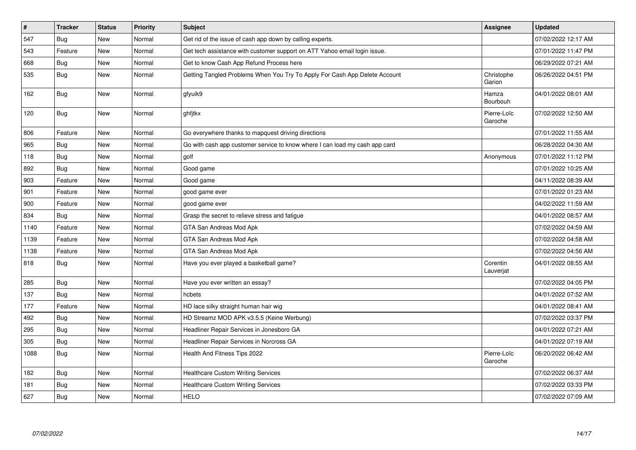| #    | <b>Tracker</b> | <b>Status</b> | <b>Priority</b> | <b>Subject</b>                                                              | Assignee               | <b>Updated</b>      |
|------|----------------|---------------|-----------------|-----------------------------------------------------------------------------|------------------------|---------------------|
| 547  | <b>Bug</b>     | New           | Normal          | Get rid of the issue of cash app down by calling experts.                   |                        | 07/02/2022 12:17 AM |
| 543  | Feature        | <b>New</b>    | Normal          | Get tech assistance with customer support on ATT Yahoo email login issue.   |                        | 07/01/2022 11:47 PM |
| 668  | <b>Bug</b>     | New           | Normal          | Get to know Cash App Refund Process here                                    |                        | 06/29/2022 07:21 AM |
| 535  | <b>Bug</b>     | New           | Normal          | Getting Tangled Problems When You Try To Apply For Cash App Delete Account  | Christophe<br>Garion   | 06/26/2022 04:51 PM |
| 162  | <b>Bug</b>     | New           | Normal          | gfyuik9                                                                     | Hamza<br>Bourbouh      | 04/01/2022 08:01 AM |
| 120  | <b>Bug</b>     | New           | Normal          | ghfjtkx                                                                     | Pierre-Loïc<br>Garoche | 07/02/2022 12:50 AM |
| 806  | Feature        | <b>New</b>    | Normal          | Go everywhere thanks to mapquest driving directions                         |                        | 07/01/2022 11:55 AM |
| 965  | <b>Bug</b>     | New           | Normal          | Go with cash app customer service to know where I can load my cash app card |                        | 06/28/2022 04:30 AM |
| 118  | Bug            | New           | Normal          | golf                                                                        | Anonymous              | 07/01/2022 11:12 PM |
| 892  | Bug            | New           | Normal          | Good game                                                                   |                        | 07/01/2022 10:25 AM |
| 903  | Feature        | <b>New</b>    | Normal          | Good game                                                                   |                        | 04/11/2022 08:39 AM |
| 901  | Feature        | <b>New</b>    | Normal          | good game ever                                                              |                        | 07/01/2022 01:23 AM |
| 900  | Feature        | New           | Normal          | good game ever                                                              |                        | 04/02/2022 11:59 AM |
| 834  | Bug            | New           | Normal          | Grasp the secret to relieve stress and fatigue                              |                        | 04/01/2022 08:57 AM |
| 1140 | Feature        | <b>New</b>    | Normal          | GTA San Andreas Mod Apk                                                     |                        | 07/02/2022 04:59 AM |
| 1139 | Feature        | <b>New</b>    | Normal          | GTA San Andreas Mod Apk                                                     |                        | 07/02/2022 04:58 AM |
| 1138 | Feature        | New           | Normal          | GTA San Andreas Mod Apk                                                     |                        | 07/02/2022 04:56 AM |
| 818  | Bug            | New           | Normal          | Have you ever played a basketball game?                                     | Corentin<br>Lauverjat  | 04/01/2022 08:55 AM |
| 285  | Bug            | New           | Normal          | Have you ever written an essay?                                             |                        | 07/02/2022 04:05 PM |
| 137  | <b>Bug</b>     | <b>New</b>    | Normal          | hcbets                                                                      |                        | 04/01/2022 07:52 AM |
| 177  | Feature        | New           | Normal          | HD lace silky straight human hair wig                                       |                        | 04/01/2022 08:41 AM |
| 492  | Bug            | New           | Normal          | HD Streamz MOD APK v3.5.5 (Keine Werbung)                                   |                        | 07/02/2022 03:37 PM |
| 295  | Bug            | New           | Normal          | Headliner Repair Services in Jonesboro GA                                   |                        | 04/01/2022 07:21 AM |
| 305  | <b>Bug</b>     | New           | Normal          | Headliner Repair Services in Norcross GA                                    |                        | 04/01/2022 07:19 AM |
| 1088 | <b>Bug</b>     | New           | Normal          | Health And Fitness Tips 2022                                                | Pierre-Loïc<br>Garoche | 06/20/2022 06:42 AM |
| 182  | Bug            | New           | Normal          | <b>Healthcare Custom Writing Services</b>                                   |                        | 07/02/2022 06:37 AM |
| 181  | Bug            | New           | Normal          | <b>Healthcare Custom Writing Services</b>                                   |                        | 07/02/2022 03:33 PM |
| 627  | Bug            | New           | Normal          | <b>HELO</b>                                                                 |                        | 07/02/2022 07:09 AM |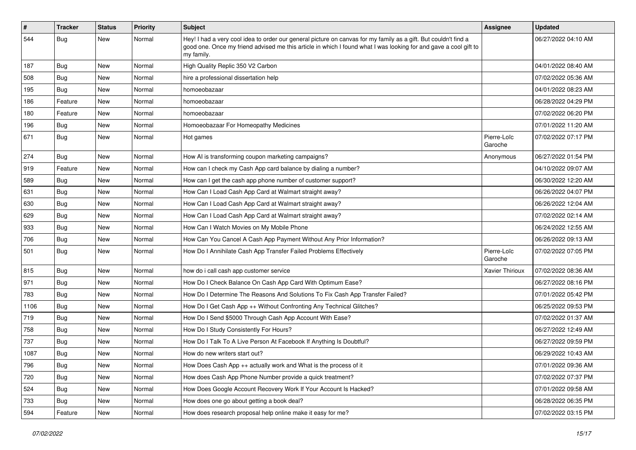| #    | <b>Tracker</b> | <b>Status</b> | Priority | Subject                                                                                                                                                                                                                                           | Assignee               | <b>Updated</b>      |
|------|----------------|---------------|----------|---------------------------------------------------------------------------------------------------------------------------------------------------------------------------------------------------------------------------------------------------|------------------------|---------------------|
| 544  | <b>Bug</b>     | New           | Normal   | Hey! I had a very cool idea to order our general picture on canvas for my family as a gift. But couldn't find a<br>good one. Once my friend advised me this article in which I found what I was looking for and gave a cool gift to<br>my family. |                        | 06/27/2022 04:10 AM |
| 187  | Bug            | New           | Normal   | High Quality Replic 350 V2 Carbon                                                                                                                                                                                                                 |                        | 04/01/2022 08:40 AM |
| 508  | <b>Bug</b>     | New           | Normal   | hire a professional dissertation help                                                                                                                                                                                                             |                        | 07/02/2022 05:36 AM |
| 195  | Bug            | New           | Normal   | homoeobazaar                                                                                                                                                                                                                                      |                        | 04/01/2022 08:23 AM |
| 186  | Feature        | New           | Normal   | homoeobazaar                                                                                                                                                                                                                                      |                        | 06/28/2022 04:29 PM |
| 180  | Feature        | New           | Normal   | homoeobazaar                                                                                                                                                                                                                                      |                        | 07/02/2022 06:20 PM |
| 196  | Bug            | New           | Normal   | Homoeobazaar For Homeopathy Medicines                                                                                                                                                                                                             |                        | 07/01/2022 11:20 AM |
| 671  | <b>Bug</b>     | New           | Normal   | Hot games                                                                                                                                                                                                                                         | Pierre-Loïc<br>Garoche | 07/02/2022 07:17 PM |
| 274  | Bug            | New           | Normal   | How AI is transforming coupon marketing campaigns?                                                                                                                                                                                                | Anonymous              | 06/27/2022 01:54 PM |
| 919  | Feature        | New           | Normal   | How can I check my Cash App card balance by dialing a number?                                                                                                                                                                                     |                        | 04/10/2022 09:07 AM |
| 589  | <b>Bug</b>     | New           | Normal   | How can I get the cash app phone number of customer support?                                                                                                                                                                                      |                        | 06/30/2022 12:20 AM |
| 631  | <b>Bug</b>     | New           | Normal   | How Can I Load Cash App Card at Walmart straight away?                                                                                                                                                                                            |                        | 06/26/2022 04:07 PM |
| 630  | Bug            | New           | Normal   | How Can I Load Cash App Card at Walmart straight away?                                                                                                                                                                                            |                        | 06/26/2022 12:04 AM |
| 629  | Bug            | New           | Normal   | How Can I Load Cash App Card at Walmart straight away?                                                                                                                                                                                            |                        | 07/02/2022 02:14 AM |
| 933  | Bug            | New           | Normal   | How Can I Watch Movies on My Mobile Phone                                                                                                                                                                                                         |                        | 06/24/2022 12:55 AM |
| 706  | Bug            | New           | Normal   | How Can You Cancel A Cash App Payment Without Any Prior Information?                                                                                                                                                                              |                        | 06/26/2022 09:13 AM |
| 501  | <b>Bug</b>     | New           | Normal   | How Do I Annihilate Cash App Transfer Failed Problems Effectively                                                                                                                                                                                 | Pierre-Loïc<br>Garoche | 07/02/2022 07:05 PM |
| 815  | <b>Bug</b>     | New           | Normal   | how do i call cash app customer service                                                                                                                                                                                                           | Xavier Thirioux        | 07/02/2022 08:36 AM |
| 971  | Bug            | New           | Normal   | How Do I Check Balance On Cash App Card With Optimum Ease?                                                                                                                                                                                        |                        | 06/27/2022 08:16 PM |
| 783  | Bug            | New           | Normal   | How Do I Determine The Reasons And Solutions To Fix Cash App Transfer Failed?                                                                                                                                                                     |                        | 07/01/2022 05:42 PM |
| 1106 | Bug            | New           | Normal   | How Do I Get Cash App ++ Without Confronting Any Technical Glitches?                                                                                                                                                                              |                        | 06/25/2022 09:53 PM |
| 719  | Bug            | New           | Normal   | How Do I Send \$5000 Through Cash App Account With Ease?                                                                                                                                                                                          |                        | 07/02/2022 01:37 AM |
| 758  | <b>Bug</b>     | New           | Normal   | How Do I Study Consistently For Hours?                                                                                                                                                                                                            |                        | 06/27/2022 12:49 AM |
| 737  | Bug            | New           | Normal   | How Do I Talk To A Live Person At Facebook If Anything Is Doubtful?                                                                                                                                                                               |                        | 06/27/2022 09:59 PM |
| 1087 | <b>Bug</b>     | New           | Normal   | How do new writers start out?                                                                                                                                                                                                                     |                        | 06/29/2022 10:43 AM |
| 796  | Bug            | New           | Normal   | How Does Cash App ++ actually work and What is the process of it                                                                                                                                                                                  |                        | 07/01/2022 09:36 AM |
| 720  | <b>Bug</b>     | New           | Normal   | How does Cash App Phone Number provide a quick treatment?                                                                                                                                                                                         |                        | 07/02/2022 07:37 PM |
| 524  | <b>Bug</b>     | New           | Normal   | How Does Google Account Recovery Work If Your Account Is Hacked?                                                                                                                                                                                  |                        | 07/01/2022 09:58 AM |
| 733  | <b>Bug</b>     | New           | Normal   | How does one go about getting a book deal?                                                                                                                                                                                                        |                        | 06/28/2022 06:35 PM |
| 594  | Feature        | New           | Normal   | How does research proposal help online make it easy for me?                                                                                                                                                                                       |                        | 07/02/2022 03:15 PM |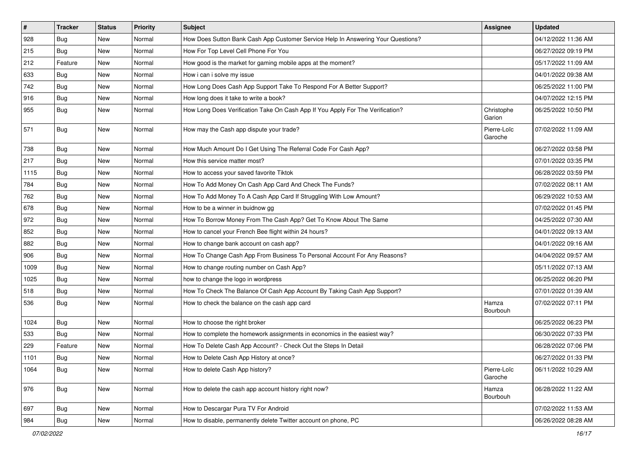| #    | <b>Tracker</b> | <b>Status</b> | <b>Priority</b> | Subject                                                                          | Assignee               | <b>Updated</b>      |
|------|----------------|---------------|-----------------|----------------------------------------------------------------------------------|------------------------|---------------------|
| 928  | <b>Bug</b>     | New           | Normal          | How Does Sutton Bank Cash App Customer Service Help In Answering Your Questions? |                        | 04/12/2022 11:36 AM |
| 215  | Bug            | New           | Normal          | How For Top Level Cell Phone For You                                             |                        | 06/27/2022 09:19 PM |
| 212  | Feature        | New           | Normal          | How good is the market for gaming mobile apps at the moment?                     |                        | 05/17/2022 11:09 AM |
| 633  | <b>Bug</b>     | New           | Normal          | How i can i solve my issue                                                       |                        | 04/01/2022 09:38 AM |
| 742  | Bug            | New           | Normal          | How Long Does Cash App Support Take To Respond For A Better Support?             |                        | 06/25/2022 11:00 PM |
| 916  | <b>Bug</b>     | New           | Normal          | How long does it take to write a book?                                           |                        | 04/07/2022 12:15 PM |
| 955  | Bug            | New           | Normal          | How Long Does Verification Take On Cash App If You Apply For The Verification?   | Christophe<br>Garion   | 06/25/2022 10:50 PM |
| 571  | <b>Bug</b>     | New           | Normal          | How may the Cash app dispute your trade?                                         | Pierre-Loïc<br>Garoche | 07/02/2022 11:09 AM |
| 738  | Bug            | New           | Normal          | How Much Amount Do I Get Using The Referral Code For Cash App?                   |                        | 06/27/2022 03:58 PM |
| 217  | <b>Bug</b>     | New           | Normal          | How this service matter most?                                                    |                        | 07/01/2022 03:35 PM |
| 1115 | Bug            | New           | Normal          | How to access your saved favorite Tiktok                                         |                        | 06/28/2022 03:59 PM |
| 784  | <b>Bug</b>     | New           | Normal          | How To Add Money On Cash App Card And Check The Funds?                           |                        | 07/02/2022 08:11 AM |
| 762  | Bug            | New           | Normal          | How To Add Money To A Cash App Card If Struggling With Low Amount?               |                        | 06/29/2022 10:53 AM |
| 678  | Bug            | New           | Normal          | How to be a winner in buidnow gg                                                 |                        | 07/02/2022 01:45 PM |
| 972  | <b>Bug</b>     | New           | Normal          | How To Borrow Money From The Cash App? Get To Know About The Same                |                        | 04/25/2022 07:30 AM |
| 852  | <b>Bug</b>     | New           | Normal          | How to cancel your French Bee flight within 24 hours?                            |                        | 04/01/2022 09:13 AM |
| 882  | Bug            | New           | Normal          | How to change bank account on cash app?                                          |                        | 04/01/2022 09:16 AM |
| 906  | <b>Bug</b>     | New           | Normal          | How To Change Cash App From Business To Personal Account For Any Reasons?        |                        | 04/04/2022 09:57 AM |
| 1009 | Bug            | New           | Normal          | How to change routing number on Cash App?                                        |                        | 05/11/2022 07:13 AM |
| 1025 | <b>Bug</b>     | New           | Normal          | how to change the logo in wordpress                                              |                        | 06/25/2022 06:20 PM |
| 518  | <b>Bug</b>     | New           | Normal          | How To Check The Balance Of Cash App Account By Taking Cash App Support?         |                        | 07/01/2022 01:39 AM |
| 536  | <b>Bug</b>     | New           | Normal          | How to check the balance on the cash app card                                    | Hamza<br>Bourbouh      | 07/02/2022 07:11 PM |
| 1024 | <b>Bug</b>     | New           | Normal          | How to choose the right broker                                                   |                        | 06/25/2022 06:23 PM |
| 533  | Bug            | New           | Normal          | How to complete the homework assignments in economics in the easiest way?        |                        | 06/30/2022 07:33 PM |
| 229  | Feature        | New           | Normal          | How To Delete Cash App Account? - Check Out the Steps In Detail                  |                        | 06/28/2022 07:06 PM |
| 1101 | i Bug          | New           | Normal          | How to Delete Cash App History at once?                                          |                        | 06/27/2022 01:33 PM |
| 1064 | Bug            | New           | Normal          | How to delete Cash App history?                                                  | Pierre-Loïc<br>Garoche | 06/11/2022 10:29 AM |
| 976  | <b>Bug</b>     | New           | Normal          | How to delete the cash app account history right now?                            | Hamza<br>Bourbouh      | 06/28/2022 11:22 AM |
| 697  | Bug            | New           | Normal          | How to Descargar Pura TV For Android                                             |                        | 07/02/2022 11:53 AM |
| 984  | <b>Bug</b>     | New           | Normal          | How to disable, permanently delete Twitter account on phone, PC                  |                        | 06/26/2022 08:28 AM |